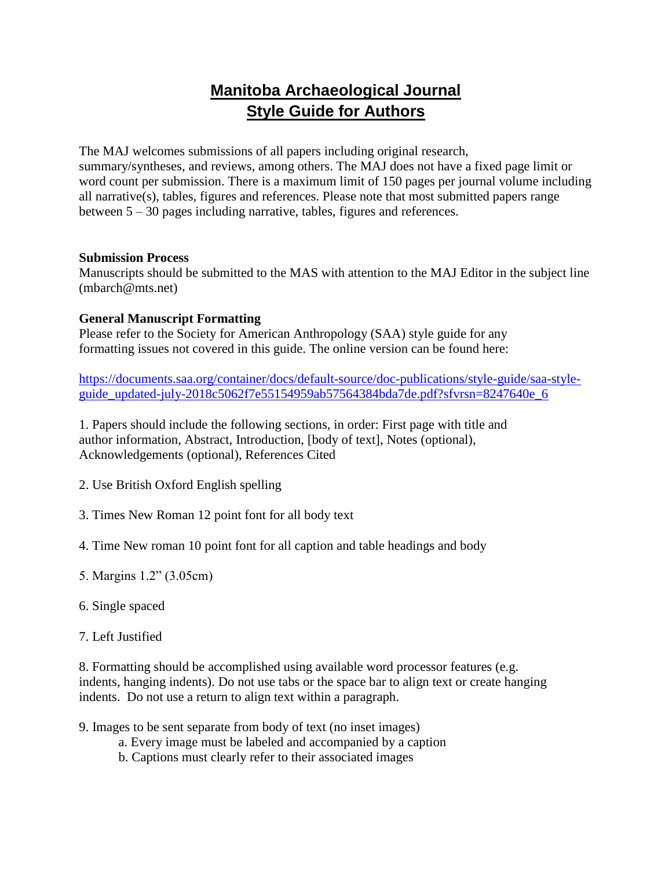## **Manitoba Archaeological Journal Style Guide for Authors**

The MAJ welcomes submissions of all papers including original research, summary/syntheses, and reviews, among others. The MAJ does not have a fixed page limit or word count per submission. There is a maximum limit of 150 pages per journal volume including all narrative(s), tables, figures and references. Please note that most submitted papers range between 5 – 30 pages including narrative, tables, figures and references.

#### **Submission Process**

Manuscripts should be submitted to the MAS with attention to the MAJ Editor in the subject line (mbarch@mts.net)

### **General Manuscript Formatting**

Please refer to the Society for American Anthropology (SAA) style guide for any formatting issues not covered in this guide. The online version can be found here:

[https://documents.saa.org/container/docs/default-source/doc-publications/style-guide/saa-style](https://documents.saa.org/container/docs/default-source/doc-publications/style-guide/saa-style-guide_updated-july-2018c5062f7e55154959ab57564384bda7de.pdf?sfvrsn=8247640e_6)[guide\\_updated-july-2018c5062f7e55154959ab57564384bda7de.pdf?sfvrsn=8247640e\\_6](https://documents.saa.org/container/docs/default-source/doc-publications/style-guide/saa-style-guide_updated-july-2018c5062f7e55154959ab57564384bda7de.pdf?sfvrsn=8247640e_6)

1. Papers should include the following sections, in order: First page with title and author information, Abstract, Introduction, [body of text], Notes (optional), Acknowledgements (optional), References Cited

- 2. Use British Oxford English spelling
- 3. Times New Roman 12 point font for all body text
- 4. Time New roman 10 point font for all caption and table headings and body
- 5. Margins 1.2" (3.05cm)
- 6. Single spaced
- 7. Left Justified

8. Formatting should be accomplished using available word processor features (e.g. indents, hanging indents). Do not use tabs or the space bar to align text or create hanging indents. Do not use a return to align text within a paragraph.

- 9. Images to be sent separate from body of text (no inset images)
	- a. Every image must be labeled and accompanied by a caption
	- b. Captions must clearly refer to their associated images